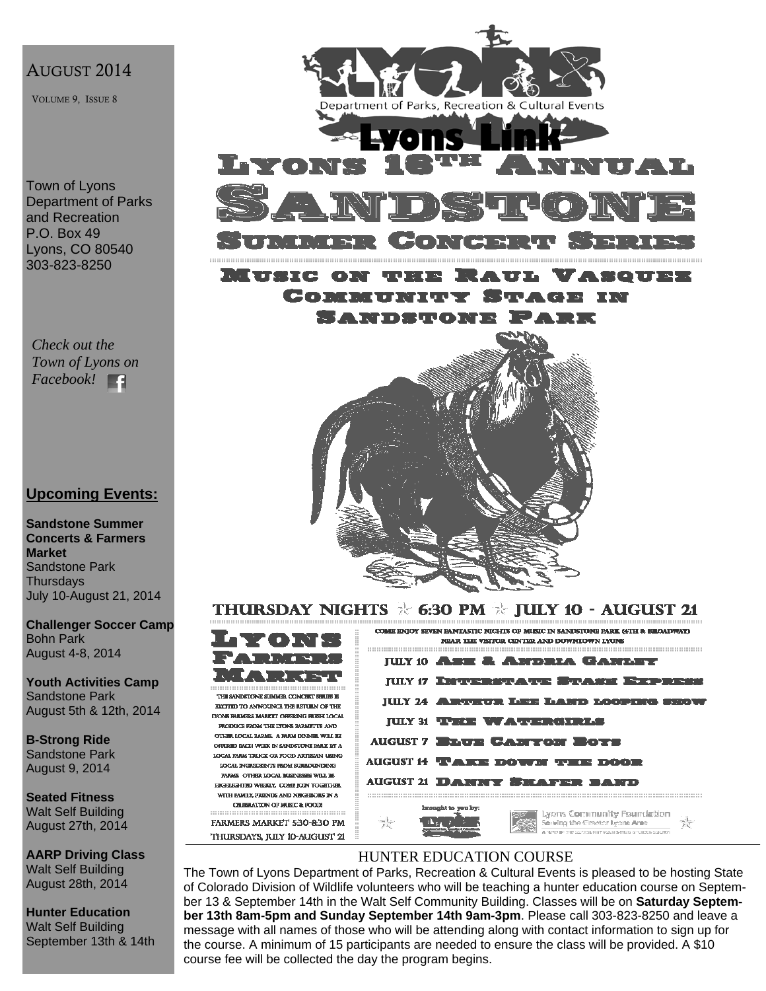#### AUGUST 2014

VOLUME 9, ISSUE 8

Town of Lyons Department of Parks and Recreation P.O. Box 49 Lyons, CO 80540 303-823-8250

*Check out the Town of Lyons on Facebook!* 

#### **Upcoming Events:**

**Sandstone Summer Concerts & Farmers Market**  Sandstone Park **Thursdays** July 10-August 21, 2014

**Challenger Soccer Camp**  Bohn Park August 4-8, 2014

**Youth Activities Camp**  Sandstone Park August 5th & 12th, 2014

**B-Strong Ride**  Sandstone Park August 9, 2014

**Seated Fitness**  Walt Self Building August 27th, 2014

**AARP Driving Class**  Walt Self Building August 28th, 2014

**Hunter Education**  Walt Self Building September 13th & 14th



Mitsic on **UDITI**S ATT. V A SOUER Contentrative STAGE IN SANDSTONE **THE TIME** 



# THURSDAY NIGHTS  $\stackrel{1}{\sim}$  6:30 PM  $\stackrel{1}{\approx}$  JULY 10 - AUGUST 21



THE SANDETONE SUMMER CONCRET SHURE IS RECEIVED TO ANNOUNCE THE BRITIAN OF THE **EYONE BARMERS MARKET CHREDGE BURGL LOCAL** PRODUCE FROM THE ETONS RABMETTE AND COTHING LOCAL BARMS. A TAULA DONNER WILL BE **OFFICID BACH WEEK IN SANDETONE PARK BY A** LOCAL FARM TRUCK OR FOOD ARTISIAN USING. LOCAL INGREDIENTS BLOM SUBJACUNDING FARAGE OTHER LOCAL BUSINESSES WILL BE **FOCHOLICHTRD WRIGHT, COMB FORN TOGETHRD** WITH BAMILY, FRIENDS AND NINGHBORS IN A CRUBBLATION OF MUSIC & POOLS . . . . . . . . .

FARMERS MARKET 530-830 PM THURSDAYS, JULY 10-AUGUST 21

|                                     | NBAR THE VISITOR CENTER AND DUWNTOWN LYUNG |                                                                                                                                          |  |
|-------------------------------------|--------------------------------------------|------------------------------------------------------------------------------------------------------------------------------------------|--|
|                                     |                                            | <b>JULY 10 ASE &amp; ANDRIA GANLEY</b>                                                                                                   |  |
|                                     |                                            | JULY 17 INTERNTATE STANK EXPRESS                                                                                                         |  |
|                                     |                                            | <b>JULY 24 ARTEUR LEE LAND LOOPERS SHOW</b>                                                                                              |  |
| <b>JULY 31 TEEN WATERGIRLS</b>      |                                            |                                                                                                                                          |  |
| <b>AUGUST 7 ELUE CANTON BOYS</b>    |                                            |                                                                                                                                          |  |
| <b>AUGUST 14 TAKE DOWN THE DOOR</b> |                                            |                                                                                                                                          |  |
| <b>AUGUST 21 IDANNY SKAFER BAND</b> |                                            |                                                                                                                                          |  |
|                                     |                                            |                                                                                                                                          |  |
| brought to you by:                  |                                            | Lyons Community Foundation<br>Serving the Ersetor Leans Area<br>A CARDIO BALCONIC COLORED AND AN INFORMATION OF CARDIO AND INTERNATIONAL |  |

COME ENJOY SEVEN FANTASTIC NIGHTS OF MUSIC IN SANDSTONE PARK (4TH & BEOADWAY)

#### HUNTER EDUCATION COURSE

The Town of Lyons Department of Parks, Recreation & Cultural Events is pleased to be hosting State of Colorado Division of Wildlife volunteers who will be teaching a hunter education course on September 13 & September 14th in the Walt Self Community Building. Classes will be on **Saturday September 13th 8am-5pm and Sunday September 14th 9am-3pm**. Please call 303-823-8250 and leave a message with all names of those who will be attending along with contact information to sign up for the course. A minimum of 15 participants are needed to ensure the class will be provided. A \$10 course fee will be collected the day the program begins.